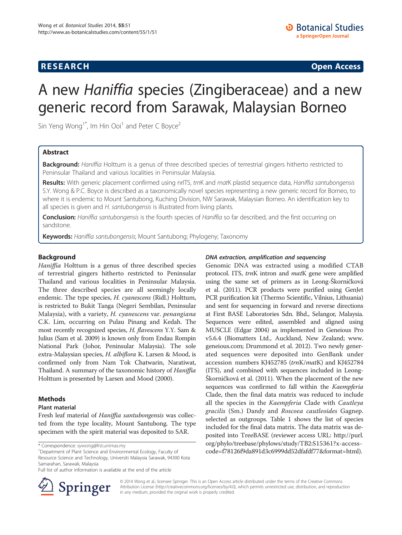## **RESEARCH CHINESE ARCH CHINESE ARCH CHINESE ARCH <b>CHINESE ARCH**

# A new Haniffia species (Zingiberaceae) and a new generic record from Sarawak, Malaysian Borneo

Sin Yeng Wong<sup>1\*</sup>, Im Hin Ooi<sup>1</sup> and Peter C Boyce<sup>2</sup>

## Abstract

Background: Haniffia Holttum is a genus of three described species of terrestrial gingers hitherto restricted to Peninsular Thailand and various localities in Peninsular Malaysia.

Results: With generic placement confirmed using nrITS, trnK and matK plastid sequence data, Haniffia santubongensis S.Y. Wong & P.C. Boyce is described as a taxonomically novel species representing a new generic record for Borneo, to where it is endemic to Mount Santubong, Kuching Division, NW Sarawak, Malaysian Borneo. An identification key to all species is given and H. santubongensis is illustrated from living plants.

Conclusion: Haniffia santubongensis is the fourth species of Haniffia so far described, and the first occurring on sandstone.

**Keywords:** Haniffia santubongensis; Mount Santubong; Phylogeny; Taxonomy

## Background

Haniffia Holttum is a genus of three described species of terrestrial gingers hitherto restricted to Peninsular Thailand and various localities in Peninsular Malaysia. The three described species are all seemingly locally endemic. The type species, H. cyanescens (Ridl.) Holttum, is restricted to Bukit Tanga (Negeri Sembilan, Peninsular Malaysia), with a variety, H. cyanescens var. penangiana C.K. Lim, occurring on Pulau Pinang and Kedah. The most recently recognized species, H. flavescens Y.Y. Sam & Julius (Sam et al. [2009\)](#page-4-0) is known only from Endau Rompin National Park (Johor, Peninsular Malaysia). The sole extra-Malaysian species, H. albiflora K. Larsen & Mood, is confirmed only from Nam Tok Chatwarin, Naratiwat, Thailand. A summary of the taxonomic history of Haniffia Holttum is presented by Larsen and Mood ([2000](#page-4-0)).

## Methods

## Plant material

Fresh leaf material of Haniffia santubongensis was collected from the type locality, Mount Santubong. The type specimen with the spirit material was deposited to SAR.

Department of Plant Science and Environmental Ecology, Faculty of Resource Science and Technology, Universiti Malaysia Sarawak, 94300 Kota Samarahan, Sarawak, Malaysia

Full list of author information is available at the end of the article



## DNA extraction, amplification and sequencing

Genomic DNA was extracted using a modified CTAB protocol. ITS, trnK intron and matK gene were amplified using the same set of primers as in Leong-Škorničková et al. ([2011\)](#page-4-0). PCR products were purified using GenJet PCR purification kit (Thermo Scientific, Vilnius, Lithuania) and sent for sequencing in forward and reverse directions at First BASE Laboratories Sdn. Bhd., Selangor, Malaysia. Sequences were edited, assembled and aligned using MUSCLE (Edgar [2004\)](#page-4-0) as implemented in Geneious Pro v5.6.4 (Biomatters Ltd., Auckland, New Zealand; [www.](http://www.geneious.com) [geneious.com](http://www.geneious.com); Drummond et al. [2012\)](#page-4-0). Two newly generated sequences were deposited into GenBank under accession numbers KJ452785 (trnK/matK) and KJ452784 (ITS), and combined with sequences included in Leong-Škorničková et al. ([2011\)](#page-4-0). When the placement of the new sequences was confirmed to fall within the Kaempferia Clade, then the final data matrix was reduced to include all the species in the Kaempferia Clade with Cautleya gracilis (Sm.) Dandy and Roscoea cautleoides Gagnep. selected as outgroups. Table [1](#page-1-0) shows the list of species included for the final data matrix. The data matrix was deposited into TreeBASE (reviewer access URL: [http://purl.](http://purl.org/phylo/treebase/phylows/study/TB2:S15361?x-access-code=f78126f9da891d3c6999dd52dfafdf77&format=html) [org/phylo/treebase/phylows/study/TB2:S15361?x-access](http://purl.org/phylo/treebase/phylows/study/TB2:S15361?x-access-code=f78126f9da891d3c6999dd52dfafdf77&format=html)[code=f78126f9da891d3c6999dd52dfafdf77&format=html\)](http://purl.org/phylo/treebase/phylows/study/TB2:S15361?x-access-code=f78126f9da891d3c6999dd52dfafdf77&format=html).

© 2014 Wong et al.; licensee Springer. This is an Open Access article distributed under the terms of the Creative Commons Attribution License [\(http://creativecommons.org/licenses/by/4.0\)](http://creativecommons.org/licenses/by/4.0), which permits unrestricted use, distribution, and reproduction in any medium, provided the original work is properly credited.

<sup>\*</sup> Correspondence: [sywong@frst.unimas.my](mailto:sywong@frst.unimas.my) <sup>1</sup>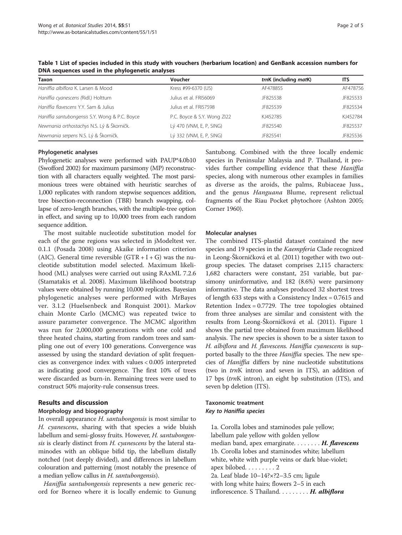| Taxon                                          | Voucher                     | trnK (including matK) | <b>ITS</b> |
|------------------------------------------------|-----------------------------|-----------------------|------------|
| Haniffia albiflora K. Larsen & Mood            | Kress #99-6370 (US)         | AF478855              | AF478756   |
| Haniffia cyanescens (Ridl.) Holttum            | Julius et al. FRI56069      | JF825538              | JF825533   |
| Haniffia flavescens Y.Y. Sam & Julius          | Julius et al. FRI57598      | JF825539              | JF825534   |
| Haniffia santubongensis S.Y. Wong & P.C. Boyce | P.C. Boyce & S.Y. Wong ZI22 | KJ452785              | KJ452784   |
| Newmania orthostachys N.S. Lý & Škorničk.      | Lý 470 (VNM, E, P, SING)    | JF825540              | JF825537   |
| Newmania serpens N.S. Lý & Škorničk.           | Lý 332 (VNM, E, P, SING)    | JF825541              | JF825536   |

<span id="page-1-0"></span>Table 1 List of species included in this study with vouchers (herbarium location) and GenBank accession numbers for DNA sequences used in the phylogenetic analyses

#### Phylogenetic analyses

Phylogenetic analyses were performed with PAUP\*4.0b10 (Swofford [2002](#page-4-0)) for maximum parsimony (MP) reconstruction with all characters equally weighted. The most parsimonious trees were obtained with heuristic searches of 1,000 replicates with random stepwise sequences addition, tree bisection-reconnection (TBR) branch swapping, collapse of zero-length branches, with the multiple-tree option in effect, and saving up to 10,000 trees from each random sequence addition.

The most suitable nucleotide substitution model for each of the gene regions was selected in jModeltest ver. 0.1.1 (Posada [2008\)](#page-4-0) using Akaike information criterion (AIC). General time reversible  $(GTR + I + G)$  was the nucleotide substitution model selected. Maximum likelihood (ML) analyses were carried out using RAxML 7.2.6 (Stamatakis et al. [2008\)](#page-4-0). Maximum likelihood bootstrap values were obtained by running 10,000 replicates. Bayesian phylogenetic analyses were performed with MrBayes ver. 3.1.2 (Huelsenbeck and Ronquist [2001](#page-4-0)). Markov chain Monte Carlo (MCMC) was repeated twice to assure parameter convergence. The MCMC algorithm was run for 2,000,000 generations with one cold and three heated chains, starting from random trees and sampling one out of every 100 generations. Convergence was assessed by using the standard deviation of split frequencies as convergence index with values < 0.005 interpreted as indicating good convergence. The first 10% of trees were discarded as burn-in. Remaining trees were used to construct 50% majority-rule consensus trees.

## Results and discussion

## Morphology and biogeography

In overall appearance H. santubongensis is most similar to H. cyanescens, sharing with that species a wide bluish labellum and semi-glossy fruits. However, H. santubongensis is clearly distinct from H. cyanescens by the lateral staminodes with an oblique bifid tip, the labellum distally notched (not deeply divided), and differences in labellum colouration and patterning (most notably the presence of a median yellow callus in H. santubongensis).

Haniffia santubongensis represents a new generic record for Borneo where it is locally endemic to Gunung Santubong. Combined with the three locally endemic species in Peninsular Malaysia and P. Thailand, it provides further compelling evidence that these Haniffia species, along with numerous other examples in families as diverse as the aroids, the palms, Rubiaceae Juss., and the genus Hanguana Blume, represent relictual fragments of the Riau Pocket phytochore (Ashton [2005](#page-4-0); Corner [1960](#page-4-0)).

#### Molecular analyses

The combined ITS-plastid dataset contained the new species and 19 species in the Kaempferia Clade recognized in Leong-Škorničková et al. [\(2011\)](#page-4-0) together with two outgroup species. The dataset comprises 2,115 characters: 1,682 characters were constant, 251 variable, but parsimony uninformative, and 182 (8.6%) were parsimony informative. The data analyses produced 32 shortest trees of length 633 steps with a Consistency Index = 0.7615 and Retention Index = 0.7729. The tree topologies obtained from three analyses are similar and consistent with the results from Leong-Škorničková et al. [\(2011\)](#page-4-0). Figure [1](#page-2-0) shows the partial tree obtained from maximum likelihood analysis. The new species is shown to be a sister taxon to H. albiflora and H. flavescens. Haniffia cyanescens is supported basally to the three *Haniffia* species. The new species of Haniffia differs by nine nucleotide substitutions (two in trnK intron and seven in ITS), an addition of 17 bps (trnK intron), an eight bp substitution (ITS), and seven bp deletion (ITS).

## Taxonomic treatment Key to Haniffia species

1a. Corolla lobes and staminodes pale yellow; labellum pale yellow with golden yellow median band, apex emarginate.  $\dots \dots$ . H. flavescens 1b. Corolla lobes and staminodes white; labellum white, white with purple veins or dark blue-violet; apex bilobed. . . . . . . . . 2 2a. Leaf blade 10–14?×?2–3.5 cm; ligule with long white hairs; flowers 2–5 in each inflorescence. S Thailand. . . . . . . . H. albiflora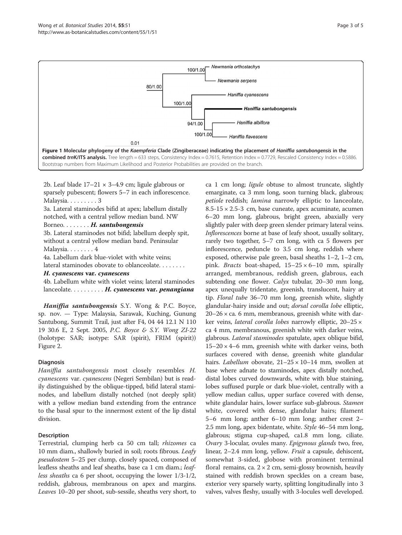<span id="page-2-0"></span>

2b. Leaf blade  $17-21 \times 3-4.9$  cm; ligule glabrous or sparsely pubescent; flowers 5–7 in each inflorescence. Malaysia. . . . . . . . . 3

3a. Lateral staminodes bifid at apex; labellum distally notched, with a central yellow median band. NW

Borneo. . . . . . . H. santubongensis

3b. Lateral staminodes not bifid; labellum deeply spit, without a central yellow median band. Peninsular Malaysia. . ......4

4a. Labellum dark blue-violet with white veins;

lateral staminodes obovate to oblanceolate. . . . . . . .

## H. cyanescens var. cyanescens

4b. Labellum white with violet veins; lateral staminodes lanceolate.  $\dots \dots \dots$ . H. cyanescens var. penangiana

Haniffia santubongensis S.Y. Wong & P.C. Boyce, sp. nov. — Type: Malaysia, Sarawak, Kuching, Gunung Santubong, Summit Trail, just after F4, 04 44 12.1 N 110 19 30.6 E, 2 Sept. 2005, P.C. Boyce & S.Y. Wong ZI-22 (holotype: SAR; isotype: SAR (spirit), FRIM (spirit)) Figure [2](#page-3-0).

## Diagnosis

Haniffia santubongensis most closely resembles H. cyanescens var. cyanescens (Negeri Sembilan) but is readily distinguished by the oblique-tipped, bifid lateral staminodes, and labellum distally notched (not deeply split) with a yellow median band extending from the entrance to the basal spur to the innermost extent of the lip distal division.

## Description

Terrestrial, clumping herb ca 50 cm tall; rhizomes ca 10 mm diam., shallowly buried in soil; roots fibrous. Leafy pseudostem 5–25 per clump, closely spaced, composed of leafless sheaths and leaf sheaths, base ca 1 cm diam.; leafless sheaths ca 6 per shoot, occupying the lower 1/3-1/2, reddish, glabrous, membranous on apex and margins. Leaves 10–20 per shoot, sub-sessile, sheaths very short, to

ca 1 cm long; ligule obtuse to almost truncate, slightly emarginate, ca 3 mm long, soon turning black, glabrous; petiole reddish; lamina narrowly elliptic to lanceolate, 8.5-15 × 2.5-3 cm, base cuneate, apex acuminate, acumen 6–20 mm long, glabrous, bright green, abaxially very slightly paler with deep green slender primary lateral veins. Inflorescences borne at base of leafy shoot, usually solitary, rarely two together, 5–7 cm long, with ca 5 flowers per inflorescence, peduncle to 3.5 cm long, reddish where exposed, otherwise pale green, basal sheaths 1–2, 1–2 cm, pink. *Bracts* boat-shaped,  $15-25 \times 6-10$  mm, spirally arranged, membranous, reddish green, glabrous, each subtending one flower. Calyx tubular, 20–30 mm long, apex unequally tridentate, greenish, translucent, hairy at tip. Floral tube 36–70 mm long, greenish white, slightly glandular-hairy inside and out; *dorsal corolla lobe* elliptic,  $20-26 \times$  ca. 6 mm, membranous, greenish white with darker veins, *lateral corolla lobes* narrowly elliptic, 20–25 × ca 4 mm, membranous, greenish white with darker veins, glabrous. Lateral staminodes spatulate, apex oblique bifid,  $15-20 \times 4-6$  mm, greenish white with darker veins, both surfaces covered with dense, greenish white glandular hairs. *Labellum* obovate,  $21-25 \times 10-14$  mm, swollen at base where adnate to staminodes, apex distally notched, distal lobes curved downwards, white with blue staining, lobes suffused purple or dark blue-violet, centrally with a yellow median callus, upper surface covered with dense, white glandular hairs, lower surface sub-glabrous. Stamen white, covered with dense, glandular hairs; filament 5–6 mm long; anther 6–10 mm long; anther crest 2– 2.5 mm long, apex bidentate, white. Style 46–54 mm long, glabrous; stigma cup-shaped, ca1.8 mm long, ciliate. Ovary 3-locular, ovules many. Epigynous glands two, free, linear, 2–2.4 mm long, yellow. Fruit a capsule, dehiscent, somewhat 3-sided, globose with prominent terminal floral remains, ca.  $2 \times 2$  cm, semi-glossy brownish, heavily stained with reddish brown speckles on a cream base, exterior very sparsely warty, splitting longitudinally into 3 valves, valves fleshy, usually with 3-locules well developed.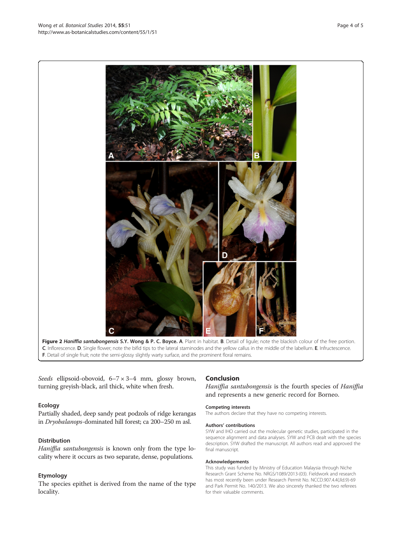Seeds ellipsoid-obovoid, 6–7×3–4 mm, glossy brown, turning greyish-black, aril thick, white when fresh.

## Ecology

Partially shaded, deep sandy peat podzols of ridge kerangas in Dryobalanops-dominated hill forest; ca 200–250 m asl.

## Distribution

Haniffia santubongensis is known only from the type locality where it occurs as two separate, dense, populations.

## Etymology

The species epithet is derived from the name of the type locality.

## Conclusion

Haniffia santubongensis is the fourth species of Haniffia and represents a new generic record for Borneo.

#### Competing interests

The authors declare that they have no competing interests.

#### Authors' contributions

SYW and IHO carried out the molecular genetic studies, participated in the sequence alignment and data analyses. SYW and PCB dealt with the species description. SYW drafted the manuscript. All authors read and approved the final manuscript.

#### Acknowledgements

This study was funded by Ministry of Education Malaysia through Niche Research Grant Scheme No. NRGS/1089/2013-(03). Fieldwork and research has most recently been under Research Permit No. NCCD.907.4.4(Jld.9)-69 and Park Permit No. 140/2013. We also sincerely thanked the two referees for their valuable comments.

<span id="page-3-0"></span>